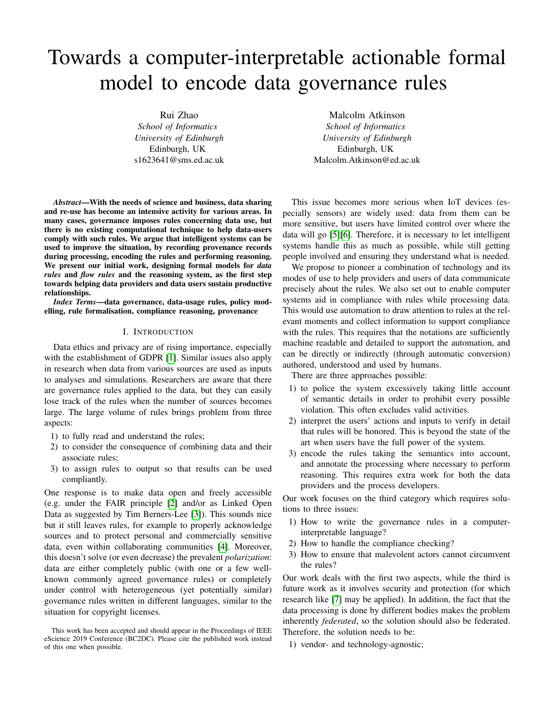# Towards a computer-interpretable actionable formal model to encode data governance rules

Rui Zhao *School of Informatics University of Edinburgh* Edinburgh, UK s1623641@sms.ed.ac.uk

*Abstract*—With the needs of science and business, data sharing and re-use has become an intensive activity for various areas. In many cases, governance imposes rules concerning data use, but there is no existing computational technique to help data-users comply with such rules. We argue that intelligent systems can be used to improve the situation, by recording provenance records during processing, encoding the rules and performing reasoning. We present our initial work, designing formal models for *data rules* and *flow rules* and the reasoning system, as the first step towards helping data providers and data users sustain productive relationships.

*Index Terms*—data governance, data-usage rules, policy modelling, rule formalisation, compliance reasoning, provenance

#### I. INTRODUCTION

Data ethics and privacy are of rising importance, especially with the establishment of GDPR [\[1\]](#page-8-0). Similar issues also apply in research when data from various sources are used as inputs to analyses and simulations. Researchers are aware that there are governance rules applied to the data, but they can easily lose track of the rules when the number of sources becomes large. The large volume of rules brings problem from three aspects:

- 1) to fully read and understand the rules;
- 2) to consider the consequence of combining data and their associate rules;
- 3) to assign rules to output so that results can be used compliantly.

One response is to make data open and freely accessible (e.g. under the FAIR principle [\[2\]](#page-8-1) and/or as Linked Open Data as suggested by Tim Berners-Lee [\[3\]](#page-8-2)). This sounds nice but it still leaves rules, for example to properly acknowledge sources and to protect personal and commercially sensitive data, even within collaborating communities [\[4\]](#page-8-3). Moreover, this doesn't solve (or even decrease) the prevalent *polarization*: data are either completely public (with one or a few wellknown commonly agreed governance rules) or completely under control with heterogeneous (yet potentially similar) governance rules written in different languages, similar to the situation for copyright licenses.

Malcolm Atkinson *School of Informatics University of Edinburgh* Edinburgh, UK Malcolm.Atkinson@ed.ac.uk

This issue becomes more serious when IoT devices (especially sensors) are widely used: data from them can be more sensitive, but users have limited control over where the data will go [\[5\]](#page-8-4)[\[6\]](#page-8-5). Therefore, it is necessary to let intelligent systems handle this as much as possible, while still getting people involved and ensuring they understand what is needed.

We propose to pioneer a combination of technology and its modes of use to help providers and users of data communicate precisely about the rules. We also set out to enable computer systems aid in compliance with rules while processing data. This would use automation to draw attention to rules at the relevant moments and collect information to support compliance with the rules. This requires that the notations are sufficiently machine readable and detailed to support the automation, and can be directly or indirectly (through automatic conversion) authored, understood and used by humans.

There are three approaches possible:

- 1) to police the system excessively taking little account of semantic details in order to prohibit every possible violation. This often excludes valid activities.
- 2) interpret the users' actions and inputs to verify in detail that rules will be honored. This is beyond the state of the art when users have the full power of the system.
- 3) encode the rules taking the semantics into account, and annotate the processing where necessary to perform reasoning. This requires extra work for both the data providers and the process developers.

Our work focuses on the third category which requires solutions to three issues:

- 1) How to write the governance rules in a computerinterpretable language?
- 2) How to handle the compliance checking?
- 3) How to ensure that malevolent actors cannot circumvent the rules?

Our work deals with the first two aspects, while the third is future work as it involves security and protection (for which research like [\[7\]](#page-9-0) may be applied). In addition, the fact that the data processing is done by different bodies makes the problem inherently *federated*, so the solution should also be federated. Therefore, the solution needs to be:

1) vendor- and technology-agnostic;

This work has been accepted and should appear in the Proceedings of IEEE eScience 2019 Conference (BC2DC). Please cite the published work instead of this one when possible.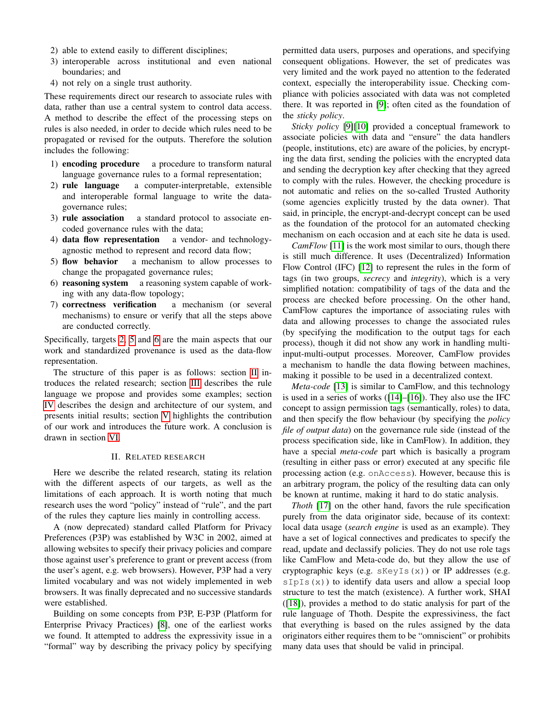- 2) able to extend easily to different disciplines;
- 3) interoperable across institutional and even national boundaries; and
- 4) not rely on a single trust authority.

These requirements direct our research to associate rules with data, rather than use a central system to control data access. A method to describe the effect of the processing steps on rules is also needed, in order to decide which rules need to be propagated or revised for the outputs. Therefore the solution includes the following:

- 1) encoding procedure a procedure to transform natural language governance rules to a formal representation;
- <span id="page-1-0"></span>2) rule language a computer-interpretable, extensible and interoperable formal language to write the datagovernance rules;
- 3) rule association a standard protocol to associate encoded governance rules with the data;
- 4) data flow representation a vendor- and technologyagnostic method to represent and record data flow;
- <span id="page-1-1"></span>5) flow behavior a mechanism to allow processes to change the propagated governance rules;
- <span id="page-1-2"></span>6) reasoning system a reasoning system capable of working with any data-flow topology;
- 7) correctness verification a mechanism (or several mechanisms) to ensure or verify that all the steps above are conducted correctly.

Specifically, targets [2,](#page-1-0) [5](#page-1-1) and [6](#page-1-2) are the main aspects that our work and standardized provenance is used as the data-flow representation.

The structure of this paper is as follows: section [II](#page-1-3) introduces the related research; section [III](#page-2-0) describes the rule language we propose and provides some examples; section [IV](#page-5-0) describes the design and architecture of our system, and presents initial results; section [V](#page-6-0) highlights the contribution of our work and introduces the future work. A conclusion is drawn in section [VI.](#page-8-6)

#### II. RELATED RESEARCH

<span id="page-1-3"></span>Here we describe the related research, stating its relation with the different aspects of our targets, as well as the limitations of each approach. It is worth noting that much research uses the word "policy" instead of "rule", and the part of the rules they capture lies mainly in controlling access.

A (now deprecated) standard called Platform for Privacy Preferences (P3P) was established by W3C in 2002, aimed at allowing websites to specify their privacy policies and compare those against user's preference to grant or prevent access (from the user's agent, e.g. web browsers). However, P3P had a very limited vocabulary and was not widely implemented in web browsers. It was finally deprecated and no successive standards were established.

Building on some concepts from P3P, E-P3P (Platform for Enterprise Privacy Practices) [\[8\]](#page-9-1), one of the earliest works we found. It attempted to address the expressivity issue in a "formal" way by describing the privacy policy by specifying permitted data users, purposes and operations, and specifying consequent obligations. However, the set of predicates was very limited and the work payed no attention to the federated context, especially the interoperability issue. Checking compliance with policies associated with data was not completed there. It was reported in [\[9\]](#page-9-2); often cited as the foundation of the *sticky policy*.

*Sticky policy* [\[9\]](#page-9-2)[\[10\]](#page-9-3) provided a conceptual framework to associate policies with data and "ensure" the data handlers (people, institutions, etc) are aware of the policies, by encrypting the data first, sending the policies with the encrypted data and sending the decryption key after checking that they agreed to comply with the rules. However, the checking procedure is not automatic and relies on the so-called Trusted Authority (some agencies explicitly trusted by the data owner). That said, in principle, the encrypt-and-decrypt concept can be used as the foundation of the protocol for an automated checking mechanism on each occasion and at each site he data is used.

*CamFlow* [\[11\]](#page-9-4) is the work most similar to ours, though there is still much difference. It uses (Decentralized) Information Flow Control (IFC) [\[12\]](#page-9-5) to represent the rules in the form of tags (in two groups, *secrecy* and *integrity*), which is a very simplified notation: compatibility of tags of the data and the process are checked before processing. On the other hand, CamFlow captures the importance of associating rules with data and allowing processes to change the associated rules (by specifying the modification to the output tags for each process), though it did not show any work in handling multiinput-multi-output processes. Moreover, CamFlow provides a mechanism to handle the data flowing between machines, making it possible to be used in a decentralized context.

*Meta-code* [\[13\]](#page-9-6) is similar to CamFlow, and this technology is used in a series of works ([\[14\]](#page-9-7)–[\[16\]](#page-9-8)). They also use the IFC concept to assign permission tags (semantically, roles) to data, and then specify the flow behaviour (by specifying the *policy file of output data*) on the governance rule side (instead of the process specification side, like in CamFlow). In addition, they have a special *meta-code* part which is basically a program (resulting in either pass or error) executed at any specific file processing action (e.g. onAccess). However, because this is an arbitrary program, the policy of the resulting data can only be known at runtime, making it hard to do static analysis.

*Thoth* [\[17\]](#page-9-9) on the other hand, favors the rule specification purely from the data originator side, because of its context: local data usage (*search engine* is used as an example). They have a set of logical connectives and predicates to specify the read, update and declassify policies. They do not use role tags like CamFlow and Meta-code do, but they allow the use of cryptographic keys (e.g.  $s$ KeyIs(x)) or IP addresses (e.g.  $sIpIs(x)$  to identify data users and allow a special loop structure to test the match (existence). A further work, SHAI ([\[18\]](#page-9-10)), provides a method to do static analysis for part of the rule language of Thoth. Despite the expressiviness, the fact that everything is based on the rules assigned by the data originators either requires them to be "omniscient" or prohibits many data uses that should be valid in principal.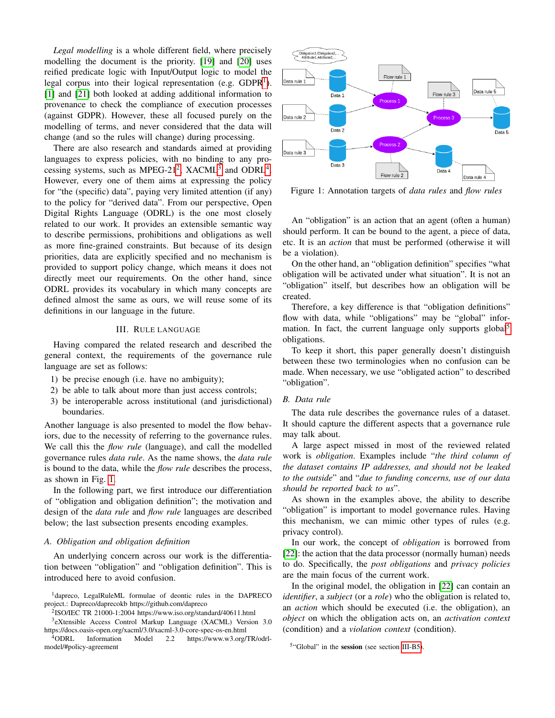*Legal modelling* is a whole different field, where precisely modelling the document is the priority. [\[19\]](#page-9-11) and [\[20\]](#page-9-12) uses reified predicate logic with Input/Output logic to model the legal corpus into their logical representation (e.g.  $GDPR<sup>1</sup>$  $GDPR<sup>1</sup>$  $GDPR<sup>1</sup>$ ). [\[1\]](#page-8-0) and [\[21\]](#page-9-13) both looked at adding additional information to provenance to check the compliance of execution processes (against GDPR). However, these all focused purely on the modelling of terms, and never considered that the data will change (and so the rules will change) during processing.

There are also research and standards aimed at providing languages to express policies, with no binding to any pro-cessing systems, such as MPEG-[2](#page-2-2)1<sup>2</sup>, XACML<sup>[3](#page-2-3)</sup> and ODRL<sup>[4](#page-2-4)</sup>. However, every one of them aims at expressing the policy for "the (specific) data", paying very limited attention (if any) to the policy for "derived data". From our perspective, Open Digital Rights Language (ODRL) is the one most closely related to our work. It provides an extensible semantic way to describe permissions, prohibitions and obligations as well as more fine-grained constraints. But because of its design priorities, data are explicitly specified and no mechanism is provided to support policy change, which means it does not directly meet our requirements. On the other hand, since ODRL provides its vocabulary in which many concepts are defined almost the same as ours, we will reuse some of its definitions in our language in the future.

#### III. RULE LANGUAGE

<span id="page-2-0"></span>Having compared the related research and described the general context, the requirements of the governance rule language are set as follows:

- 1) be precise enough (i.e. have no ambiguity);
- 2) be able to talk about more than just access controls;
- 3) be interoperable across institutional (and jurisdictional) boundaries.

Another language is also presented to model the flow behaviors, due to the necessity of referring to the governance rules. We call this the *flow rule* (language), and call the modelled governance rules *data rule*. As the name shows, the *data rule* is bound to the data, while the *flow rule* describes the process, as shown in Fig. [1.](#page-2-5)

In the following part, we first introduce our differentiation of "obligation and obligation definition"; the motivation and design of the *data rule* and *flow rule* languages are described below; the last subsection presents encoding examples.

#### *A. Obligation and obligation definition*

An underlying concern across our work is the differentiation between "obligation" and "obligation definition". This is introduced here to avoid confusion.

<span id="page-2-1"></span><sup>1</sup>dapreco, LegalRuleML formulae of deontic rules in the DAPRECO project.: Dapreco/daprecokb https://github.com/dapreco

<span id="page-2-3"></span><span id="page-2-2"></span>2 ISO/IEC TR 21000-1:2004 https://www.iso.org/standard/40611.html 3 eXtensible Access Control Markup Language (XACML) Version 3.0

https://docs.oasis-open.org/xacml/3.0/xacml-3.0-core-spec-os-en.html

<span id="page-2-4"></span><sup>4</sup>ODRL Information Model 2.2 https://www.w3.org/TR/odrlmodel/#policy-agreement

<span id="page-2-5"></span>

Figure 1: Annotation targets of *data rules* and *flow rules*

An "obligation" is an action that an agent (often a human) should perform. It can be bound to the agent, a piece of data, etc. It is an *action* that must be performed (otherwise it will be a violation).

On the other hand, an "obligation definition" specifies "what obligation will be activated under what situation". It is not an "obligation" itself, but describes how an obligation will be created.

Therefore, a key difference is that "obligation definitions" flow with data, while "obligations" may be "global" infor-mation. In fact, the current language only supports global<sup>[5](#page-2-6)</sup> obligations.

To keep it short, this paper generally doesn't distinguish between these two terminologies when no confusion can be made. When necessary, we use "obligated action" to described "obligation".

# <span id="page-2-7"></span>*B. Data rule*

The data rule describes the governance rules of a dataset. It should capture the different aspects that a governance rule may talk about.

A large aspect missed in most of the reviewed related work is *obligation*. Examples include "*the third column of the dataset contains IP addresses, and should not be leaked to the outside*" and "*due to funding concerns, use of our data should be reported back to us*".

As shown in the examples above, the ability to describe "obligation" is important to model governance rules. Having this mechanism, we can mimic other types of rules (e.g. privacy control).

In our work, the concept of *obligation* is borrowed from [\[22\]](#page-9-14): the action that the data processor (normally human) needs to do. Specifically, the *post obligations* and *privacy policies* are the main focus of the current work.

In the original model, the obligation in [\[22\]](#page-9-14) can contain an *identifier*, a *subject* (or a *role*) who the obligation is related to, an *action* which should be executed (i.e. the obligation), an *object* on which the obligation acts on, an *activation context* (condition) and a *violation context* (condition).

<span id="page-2-6"></span><sup>5</sup>"Global" in the session (see section [III-B5\)](#page-3-0).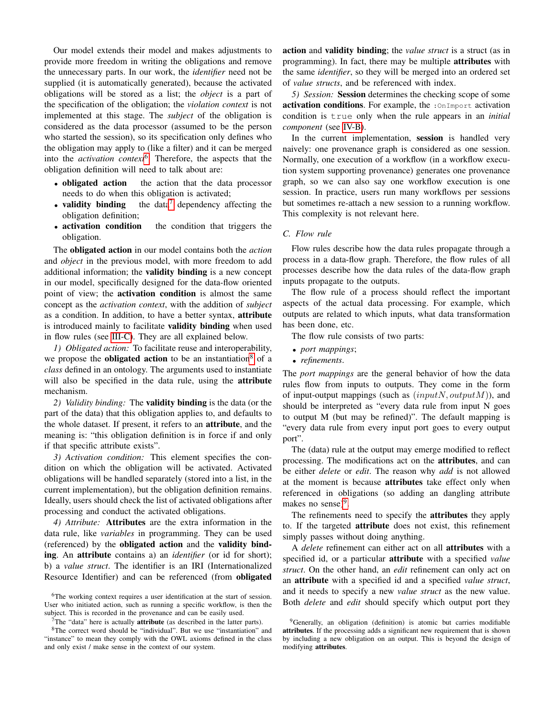Our model extends their model and makes adjustments to provide more freedom in writing the obligations and remove the unnecessary parts. In our work, the *identifier* need not be supplied (it is automatically generated), because the activated obligations will be stored as a list; the *object* is a part of the specification of the obligation; the *violation context* is not implemented at this stage. The *subject* of the obligation is considered as the data processor (assumed to be the person who started the session), so its specification only defines who the obligation may apply to (like a filter) and it can be merged into the *activation context*<sup>[6](#page-3-1)</sup>. Therefore, the aspects that the obligation definition will need to talk about are:

- obligated action the action that the data processor needs to do when this obligation is activated;
- validity binding the data<sup>[7](#page-3-2)</sup> dependency affecting the obligation definition;
- activation condition the condition that triggers the obligation.

The obligated action in our model contains both the *action* and *object* in the previous model, with more freedom to add additional information; the validity binding is a new concept in our model, specifically designed for the data-flow oriented point of view; the activation condition is almost the same concept as the *activation context*, with the addition of *subject* as a condition. In addition, to have a better syntax, attribute is introduced mainly to facilitate validity binding when used in flow rules (see [III-C\)](#page-3-3). They are all explained below.

*1) Obligated action:* To facilitate reuse and interoperability, we propose the **obligated action** to be an instantiation<sup>[8](#page-3-4)</sup> of a *class* defined in an ontology. The arguments used to instantiate will also be specified in the data rule, using the **attribute** mechanism.

*2) Validity binding:* The validity binding is the data (or the part of the data) that this obligation applies to, and defaults to the whole dataset. If present, it refers to an attribute, and the meaning is: "this obligation definition is in force if and only if that specific attribute exists".

*3) Activation condition:* This element specifies the condition on which the obligation will be activated. Activated obligations will be handled separately (stored into a list, in the current implementation), but the obligation definition remains. Ideally, users should check the list of activated obligations after processing and conduct the activated obligations.

*4) Attribute:* Attributes are the extra information in the data rule, like *variables* in programming. They can be used (referenced) by the obligated action and the validity binding. An attribute contains a) an *identifier* (or id for short); b) a *value struct*. The identifier is an IRI (Internationalized Resource Identifier) and can be referenced (from obligated action and validity binding; the *value struct* is a struct (as in programming). In fact, there may be multiple attributes with the same *identifier*, so they will be merged into an ordered set of *value structs*, and be referenced with index.

<span id="page-3-0"></span>*5) Session:* Session determines the checking scope of some activation conditions. For example, the : OnImport activation condition is true only when the rule appears in an *initial component* (see [IV-B\)](#page-6-1).

In the current implementation, session is handled very naively: one provenance graph is considered as one session. Normally, one execution of a workflow (in a workflow execution system supporting provenance) generates one provenance graph, so we can also say one workflow execution is one session. In practice, users run many workflows per sessions but sometimes re-attach a new session to a running workflow. This complexity is not relevant here.

# <span id="page-3-3"></span>*C. Flow rule*

Flow rules describe how the data rules propagate through a process in a data-flow graph. Therefore, the flow rules of all processes describe how the data rules of the data-flow graph inputs propagate to the outputs.

The flow rule of a process should reflect the important aspects of the actual data processing. For example, which outputs are related to which inputs, what data transformation has been done, etc.

The flow rule consists of two parts:

- *port mappings*;
- *refinements*.

The *port mappings* are the general behavior of how the data rules flow from inputs to outputs. They come in the form of input-output mappings (such as  $(inputN, outputM))$ , and should be interpreted as "every data rule from input N goes to output M (but may be refined)". The default mapping is "every data rule from every input port goes to every output port".

The (data) rule at the output may emerge modified to reflect processing. The modifications act on the attributes, and can be either *delete* or *edit*. The reason why *add* is not allowed at the moment is because attributes take effect only when referenced in obligations (so adding an dangling attribute makes no sense)<sup>[9](#page-3-5)</sup>.

The refinements need to specify the attributes they apply to. If the targeted attribute does not exist, this refinement simply passes without doing anything.

A *delete* refinement can either act on all attributes with a specified id, or a particular attribute with a specified *value struct*. On the other hand, an *edit* refinement can only act on an attribute with a specified id and a specified *value struct*, and it needs to specify a new *value struct* as the new value. Both *delete* and *edit* should specify which output port they

<span id="page-3-1"></span><sup>6</sup>The working context requires a user identification at the start of session. User who initiated action, such as running a specific workflow, is then the subject. This is recorded in the provenance and can be easily used.

<span id="page-3-2"></span> $7$ The "data" here is actually **attribute** (as described in the latter parts).

<span id="page-3-4"></span><sup>8</sup>The correct word should be "individual". But we use "instantiation" and "instance" to mean they comply with the OWL axioms defined in the class and only exist / make sense in the context of our system.

<span id="page-3-5"></span><sup>&</sup>lt;sup>9</sup>Generally, an obligation (definition) is atomic but carries modifiable attributes. If the processing adds a significant new requirement that is shown by including a new obligation on an output. This is beyond the design of modifying attributes.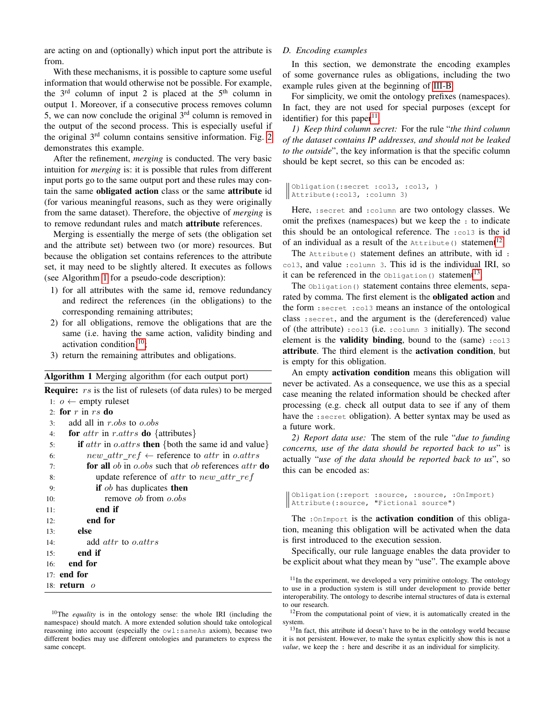are acting on and (optionally) which input port the attribute is from.

With these mechanisms, it is possible to capture some useful information that would otherwise not be possible. For example, the  $3<sup>rd</sup>$  column of input 2 is placed at the  $5<sup>th</sup>$  column in output 1. Moreover, if a consecutive process removes column 5, we can now conclude the original  $3<sup>rd</sup>$  column is removed in the output of the second process. This is especially useful if the original  $3<sup>rd</sup>$  column contains sensitive information. Fig. [2](#page-5-1) demonstrates this example.

After the refinement, *merging* is conducted. The very basic intuition for *merging* is: it is possible that rules from different input ports go to the same output port and these rules may contain the same obligated action class or the same attribute id (for various meaningful reasons, such as they were originally from the same dataset). Therefore, the objective of *merging* is to remove redundant rules and match attribute references.

Merging is essentially the merge of sets (the obligation set and the attribute set) between two (or more) resources. But because the obligation set contains references to the attribute set, it may need to be slightly altered. It executes as follows (see Algorithm [1](#page-4-0) for a pseudo-code description):

- 1) for all attributes with the same id, remove redundancy and redirect the references (in the obligations) to the corresponding remaining attributes;
- 2) for all obligations, remove the obligations that are the same (i.e. having the same action, validity binding and activation condition)<sup>[10](#page-4-1)</sup>;
- 3) return the remaining attributes and obligations.

<span id="page-4-0"></span>Algorithm 1 Merging algorithm (for each output port)

| <b>Require:</b> rs is the list of rulesets (of data rules) to be merged                             |
|-----------------------------------------------------------------------------------------------------|
| 1: $o \leftarrow \text{empty ruleset}$                                                              |
| 2: for $r$ in $rs$ do                                                                               |
| add all in r.obs to o.obs<br>3:                                                                     |
| for <i>attr</i> in <i>r.attrs</i> <b>do</b> {attributes}<br>4:                                      |
| <b>if</b> $attr$ in o.attrs <b>then</b> {both the same id and value}<br>5:                          |
| $new\_attr\_ref \leftarrow$ reference to attr in o.attrs<br>6:                                      |
| <b>for all</b> <i>ob</i> in <i>o.obs</i> such that <i>ob</i> references <i>attr</i> <b>do</b><br>7: |
| update reference of <i>attr</i> to $new\_attr\_ref$<br>8:                                           |
| if $ob$ has duplicates then<br>9:                                                                   |
| remove <i>ob</i> from $\rho$ , <i>obs</i><br>10:                                                    |
| end if<br>11:                                                                                       |
| end for<br>12:                                                                                      |
| else<br>13:                                                                                         |
| add <i>attr</i> to <i>o.attrs</i><br>14:                                                            |
| end if<br>15:                                                                                       |
| end for<br>16:                                                                                      |
| 17: end for                                                                                         |
| 18: <b>return</b><br>$\overline{O}$                                                                 |

# 18:  $return o$

<span id="page-4-1"></span><sup>10</sup>The *equality* is in the ontology sense: the whole IRI (including the namespace) should match. A more extended solution should take ontological reasoning into account (especially the owl:sameAs axiom), because two different bodies may use different ontologies and parameters to express the same concept.

# *D. Encoding examples*

In this section, we demonstrate the encoding examples of some governance rules as obligations, including the two example rules given at the beginning of [III-B.](#page-2-7)

For simplicity, we omit the ontology prefixes (namespaces). In fact, they are not used for special purposes (except for identifier) for this paper $11$ .

*1) Keep third column secret:* For the rule "*the third column of the dataset contains IP addresses, and should not be leaked to the outside*", the key information is that the specific column should be kept secret, so this can be encoded as:

```
Obligation(:secret :col3, :col3, )
Attribute(:col3, :column 3)
```
Here, :secret and :column are two ontology classes. We omit the prefixes (namespaces) but we keep the : to indicate this should be an ontological reference. The :col3 is the id of an individual as a result of the  $\text{Attribute}$  () statement<sup>[12](#page-4-3)</sup>.

The Attribute() statement defines an attribute, with id : col3, and value :column 3. This id is the individual IRI, so it can be referenced in the  $\text{obligation}$  () statement<sup>[13](#page-4-4)</sup>.

The *Obligation*() statement contains three elements, separated by comma. The first element is the obligated action and the form :secret :col3 means an instance of the ontological class :secret, and the argument is the (dereferenced) value of (the attribute) :col3 (i.e. :column 3 initially). The second element is the **validity binding**, bound to the  $(same) : \text{col3}$ attribute. The third element is the activation condition, but is empty for this obligation.

An empty **activation condition** means this obligation will never be activated. As a consequence, we use this as a special case meaning the related information should be checked after processing (e.g. check all output data to see if any of them have the : secret obligation). A better syntax may be used as a future work.

*2) Report data use:* The stem of the rule "*due to funding concerns, use of the data should be reported back to us*" is actually "*use of the data should be reported back to us*", so this can be encoded as:

```
Obligation(:report :source, :source, :OnImport)
Attribute(:source, "Fictional source")
```
The : OnImport is the activation condition of this obligation, meaning this obligation will be activated when the data is first introduced to the execution session.

Specifically, our rule language enables the data provider to be explicit about what they mean by "use". The example above

<span id="page-4-3"></span><sup>12</sup>From the computational point of view, it is automatically created in the system.

<span id="page-4-4"></span><sup>13</sup>In fact, this attribute id doesn't have to be in the ontology world because it is not persistent. However, to make the syntax explicitly show this is not a *value*, we keep the : here and describe it as an individual for simplicity.

<span id="page-4-2"></span><sup>&</sup>lt;sup>11</sup>In the experiment, we developed a very primitive ontology. The ontology to use in a production system is still under development to provide better interoperability. The ontology to describe internal structures of data is external to our research.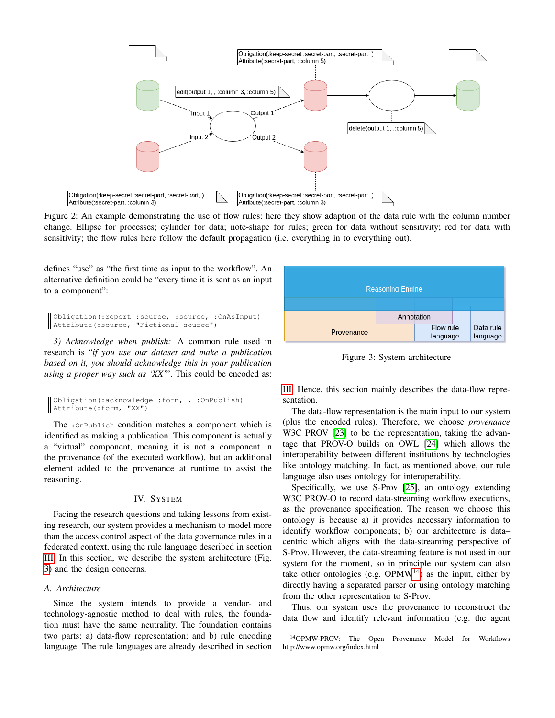<span id="page-5-1"></span>

Figure 2: An example demonstrating the use of flow rules: here they show adaption of the data rule with the column number change. Ellipse for processes; cylinder for data; note-shape for rules; green for data without sensitivity; red for data with sensitivity; the flow rules here follow the default propagation (i.e. everything in to everything out).

defines "use" as "the first time as input to the workflow". An alternative definition could be "every time it is sent as an input to a component":

```
Obligation(:report :source, :source, :OnAsInput)
Attribute(:source, "Fictional source")
```
*3) Acknowledge when publish:* A common rule used in research is "*if you use our dataset and make a publication based on it, you should acknowledge this in your publication using a proper way such as 'XX'*". This could be encoded as:

```
Obligation(:acknowledge :form, , :OnPublish)
Attribute(:form, "XX")
```
The :OnPublish condition matches a component which is identified as making a publication. This component is actually a "virtual" component, meaning it is not a component in the provenance (of the executed workflow), but an additional element added to the provenance at runtime to assist the reasoning.

# IV. SYSTEM

<span id="page-5-0"></span>Facing the research questions and taking lessons from existing research, our system provides a mechanism to model more than the access control aspect of the data governance rules in a federated context, using the rule language described in section [III.](#page-2-0) In this section, we describe the system architecture (Fig. [3\)](#page-5-2) and the design concerns.

# *A. Architecture*

Since the system intends to provide a vendor- and technology-agnostic method to deal with rules, the foundation must have the same neutrality. The foundation contains two parts: a) data-flow representation; and b) rule encoding language. The rule languages are already described in section

<span id="page-5-2"></span>

Figure 3: System architecture

[III.](#page-2-0) Hence, this section mainly describes the data-flow representation.

The data-flow representation is the main input to our system (plus the encoded rules). Therefore, we choose *provenance* W3C PROV [\[23\]](#page-9-15) to be the representation, taking the advantage that PROV-O builds on OWL [\[24\]](#page-9-16) which allows the interoperability between different institutions by technologies like ontology matching. In fact, as mentioned above, our rule language also uses ontology for interoperability.

Specifically, we use S-Prov [\[25\]](#page-9-17), an ontology extending W3C PROV-O to record data-streaming workflow executions, as the provenance specification. The reason we choose this ontology is because a) it provides necessary information to identify workflow components; b) our architecture is data– centric which aligns with the data-streaming perspective of S-Prov. However, the data-streaming feature is not used in our system for the moment, so in principle our system can also take other ontologies (e.g.  $OPMW<sup>14</sup>$  $OPMW<sup>14</sup>$  $OPMW<sup>14</sup>$ ) as the input, either by directly having a separated parser or using ontology matching from the other representation to S-Prov.

Thus, our system uses the provenance to reconstruct the data flow and identify relevant information (e.g. the agent

<span id="page-5-3"></span><sup>14</sup>OPMW-PROV: The Open Provenance Model for Workflows http://www.opmw.org/index.html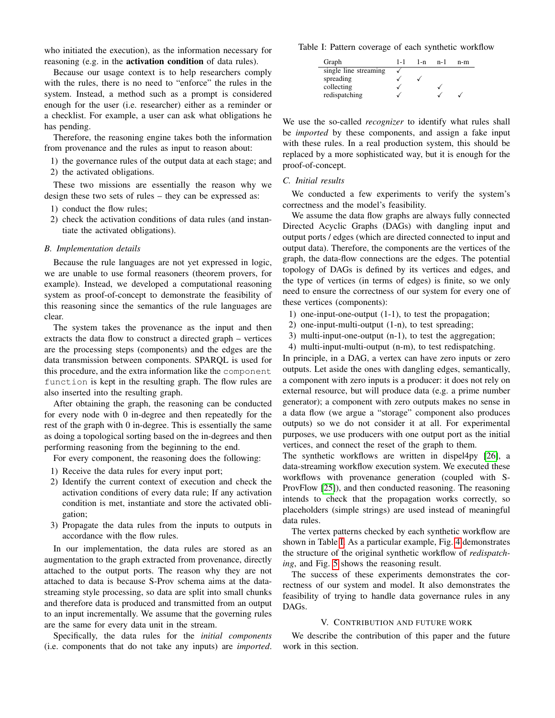who initiated the execution), as the information necessary for reasoning (e.g. in the activation condition of data rules).

Because our usage context is to help researchers comply with the rules, there is no need to "enforce" the rules in the system. Instead, a method such as a prompt is considered enough for the user (i.e. researcher) either as a reminder or a checklist. For example, a user can ask what obligations he has pending.

Therefore, the reasoning engine takes both the information from provenance and the rules as input to reason about:

- 1) the governance rules of the output data at each stage; and
- 2) the activated obligations.

These two missions are essentially the reason why we design these two sets of rules – they can be expressed as:

- 1) conduct the flow rules;
- 2) check the activation conditions of data rules (and instantiate the activated obligations).

# <span id="page-6-1"></span>*B. Implementation details*

Because the rule languages are not yet expressed in logic, we are unable to use formal reasoners (theorem provers, for example). Instead, we developed a computational reasoning system as proof-of-concept to demonstrate the feasibility of this reasoning since the semantics of the rule languages are clear.

The system takes the provenance as the input and then extracts the data flow to construct a directed graph – vertices are the processing steps (components) and the edges are the data transmission between components. SPARQL is used for this procedure, and the extra information like the component function is kept in the resulting graph. The flow rules are also inserted into the resulting graph.

After obtaining the graph, the reasoning can be conducted for every node with 0 in-degree and then repeatedly for the rest of the graph with 0 in-degree. This is essentially the same as doing a topological sorting based on the in-degrees and then performing reasoning from the beginning to the end.

For every component, the reasoning does the following:

- 1) Receive the data rules for every input port;
- 2) Identify the current context of execution and check the activation conditions of every data rule; If any activation condition is met, instantiate and store the activated obligation;
- 3) Propagate the data rules from the inputs to outputs in accordance with the flow rules.

In our implementation, the data rules are stored as an augmentation to the graph extracted from provenance, directly attached to the output ports. The reason why they are not attached to data is because S-Prov schema aims at the datastreaming style processing, so data are split into small chunks and therefore data is produced and transmitted from an output to an input incrementally. We assume that the governing rules are the same for every data unit in the stream.

Specifically, the data rules for the *initial components* (i.e. components that do not take any inputs) are *imported*.

<span id="page-6-2"></span>Table I: Pattern coverage of each synthetic workflow

| Graph                 | 1-1 | 1-n | $n-1$ | n-m |
|-----------------------|-----|-----|-------|-----|
| single line streaming |     |     |       |     |
| spreading             |     |     |       |     |
| collecting            |     |     |       |     |
| redispatching         |     |     |       |     |

We use the so-called *recognizer* to identify what rules shall be *imported* by these components, and assign a fake input with these rules. In a real production system, this should be replaced by a more sophisticated way, but it is enough for the proof-of-concept.

# *C. Initial results*

We conducted a few experiments to verify the system's correctness and the model's feasibility.

We assume the data flow graphs are always fully connected Directed Acyclic Graphs (DAGs) with dangling input and output ports / edges (which are directed connected to input and output data). Therefore, the components are the vertices of the graph, the data-flow connections are the edges. The potential topology of DAGs is defined by its vertices and edges, and the type of vertices (in terms of edges) is finite, so we only need to ensure the correctness of our system for every one of these vertices (components):

- 1) one-input-one-output (1-1), to test the propagation;
- 2) one-input-multi-output (1-n), to test spreading;
- 3) multi-input-one-output (n-1), to test the aggregation;
- 4) multi-input-multi-output (n-m), to test redispatching.

In principle, in a DAG, a vertex can have zero inputs or zero outputs. Let aside the ones with dangling edges, semantically, a component with zero inputs is a producer: it does not rely on external resource, but will produce data (e.g. a prime number generator); a component with zero outputs makes no sense in a data flow (we argue a "storage" component also produces outputs) so we do not consider it at all. For experimental purposes, we use producers with one output port as the initial vertices, and connect the reset of the graph to them.

The synthetic workflows are written in dispel4py [\[26\]](#page-9-18), a data-streaming workflow execution system. We executed these workflows with provenance generation (coupled with S-ProvFlow [\[25\]](#page-9-17)), and then conducted reasoning. The reasoning intends to check that the propagation works correctly, so placeholders (simple strings) are used instead of meaningful data rules.

The vertex patterns checked by each synthetic workflow are shown in Table [I.](#page-6-2) As a particular example, Fig. [4](#page-7-0) demonstrates the structure of the original synthetic workflow of *redispatching*, and Fig. [5](#page-7-1) shows the reasoning result.

The success of these experiments demonstrates the correctness of our system and model. It also demonstrates the feasibility of trying to handle data governance rules in any DAGs.

# V. CONTRIBUTION AND FUTURE WORK

<span id="page-6-0"></span>We describe the contribution of this paper and the future work in this section.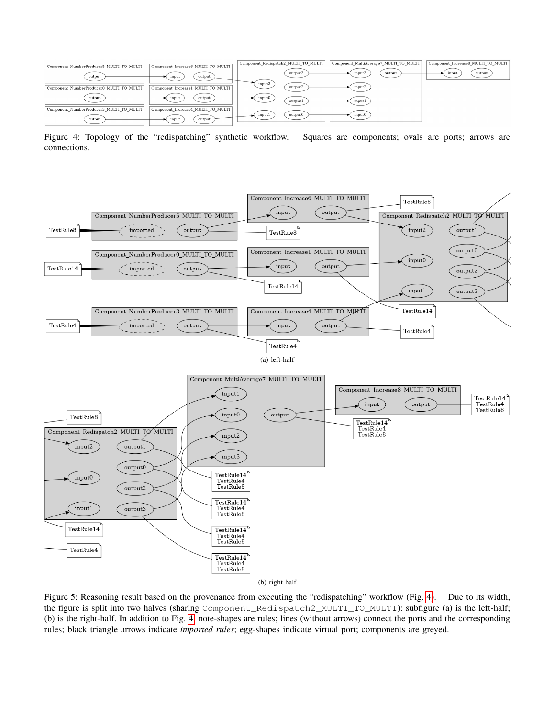<span id="page-7-0"></span>

Figure 4: Topology of the "redispatching" synthetic workflow. Squares are components; ovals are ports; arrows are connections.

<span id="page-7-1"></span>

(b) right-half

Figure 5: Reasoning result based on the provenance from executing the "redispatching" workflow (Fig. [4\)](#page-7-0). Due to its width, the figure is split into two halves (sharing Component\_Redispatch2\_MULTI\_TO\_MULTI): subfigure (a) is the left-half; (b) is the right-half. In addition to Fig. [4:](#page-7-0) note-shapes are rules; lines (without arrows) connect the ports and the corresponding rules; black triangle arrows indicate *imported rules*; egg-shapes indicate virtual port; components are greyed.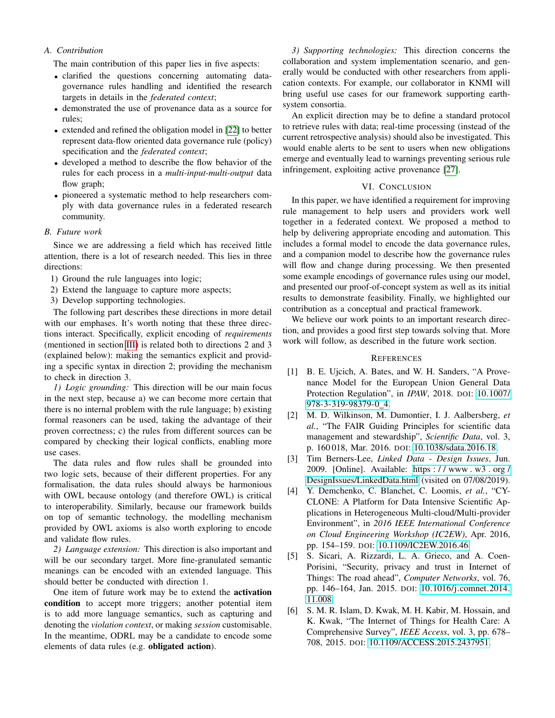# *A. Contribution*

The main contribution of this paper lies in five aspects:

- clarified the questions concerning automating datagovernance rules handling and identified the research targets in details in the *federated context*;
- demonstrated the use of provenance data as a source for rules;
- extended and refined the obligation model in [\[22\]](#page-9-14) to better represent data-flow oriented data governance rule (policy) specification and the *federated context*;
- developed a method to describe the flow behavior of the rules for each process in a *multi-input-multi-output* data flow graph;
- pioneered a systematic method to help researchers comply with data governance rules in a federated research community.

# *B. Future work*

Since we are addressing a field which has received little attention, there is a lot of research needed. This lies in three directions:

- 1) Ground the rule languages into logic;
- 2) Extend the language to capture more aspects;
- 3) Develop supporting technologies.

The following part describes these directions in more detail with our emphases. It's worth noting that these three directions interact. Specifically, explicit encoding of *requirements* (mentioned in section [III\)](#page-2-0) is related both to directions 2 and 3 (explained below): making the semantics explicit and providing a specific syntax in direction 2; providing the mechanism to check in direction 3.

*1) Logic grounding:* This direction will be our main focus in the next step, because a) we can become more certain that there is no internal problem with the rule language; b) existing formal reasoners can be used, taking the advantage of their proven correctness; c) the rules from different sources can be compared by checking their logical conflicts, enabling more use cases.

The data rules and flow rules shall be grounded into two logic sets, because of their different properties. For any formalisation, the data rules should always be harmonious with OWL because ontology (and therefore OWL) is critical to interoperability. Similarly, because our framework builds on top of semantic technology, the modelling mechanism provided by OWL axioms is also worth exploring to encode and validate flow rules.

*2) Language extension:* This direction is also important and will be our secondary target. More fine-granulated semantic meanings can be encoded with an extended language. This should better be conducted with direction 1.

One item of future work may be to extend the activation condition to accept more triggers; another potential item is to add more language semantics, such as capturing and denoting the *violation context*, or making *session* customisable. In the meantime, ODRL may be a candidate to encode some elements of data rules (e.g. obligated action).

*3) Supporting technologies:* This direction concerns the collaboration and system implementation scenario, and generally would be conducted with other researchers from application contexts. For example, our collaborator in KNMI will bring useful use cases for our framework supporting earthsystem consortia.

An explicit direction may be to define a standard protocol to retrieve rules with data; real-time processing (instead of the current retrospective analysis) should also be investigated. This would enable alerts to be sent to users when new obligations emerge and eventually lead to warnings preventing serious rule infringement, exploiting active provenance [\[27\]](#page-9-19).

# VI. CONCLUSION

<span id="page-8-6"></span>In this paper, we have identified a requirement for improving rule management to help users and providers work well together in a federated context. We proposed a method to help by delivering appropriate encoding and automation. This includes a formal model to encode the data governance rules, and a companion model to describe how the governance rules will flow and change during processing. We then presented some example encodings of governance rules using our model, and presented our proof-of-concept system as well as its initial results to demonstrate feasibility. Finally, we highlighted our contribution as a conceptual and practical framework.

We believe our work points to an important research direction, and provides a good first step towards solving that. More work will follow, as described in the future work section.

#### **REFERENCES**

- <span id="page-8-0"></span>[1] B. E. Ujcich, A. Bates, and W. H. Sanders, "A Provenance Model for the European Union General Data Protection Regulation", in *IPAW*, 2018. DOI: [10.1007/](https://doi.org/10.1007/978-3-319-98379-0_4) [978-3-319-98379-0](https://doi.org/10.1007/978-3-319-98379-0_4) 4.
- <span id="page-8-1"></span>[2] M. D. Wilkinson, M. Dumontier, I. J. Aalbersberg, *et al.*, "The FAIR Guiding Principles for scientific data management and stewardship", *Scientific Data*, vol. 3, p. 160 018, Mar. 2016. DOI: [10.1038/sdata.2016.18.](https://doi.org/10.1038/sdata.2016.18)
- <span id="page-8-2"></span>[3] Tim Berners-Lee, *Linked Data - Design Issues*, Jun. 2009. [Online]. Available: [https : / / www . w3 . org /](https://www.w3.org/DesignIssues/LinkedData.html) [DesignIssues/LinkedData.html](https://www.w3.org/DesignIssues/LinkedData.html) (visited on 07/08/2019).
- <span id="page-8-3"></span>[4] Y. Demchenko, C. Blanchet, C. Loomis, *et al.*, "CY-CLONE: A Platform for Data Intensive Scientific Applications in Heterogeneous Multi-cloud/Multi-provider Environment", in *2016 IEEE International Conference on Cloud Engineering Workshop (IC2EW)*, Apr. 2016, pp. 154–159. DOI: [10.1109/IC2EW.2016.46.](https://doi.org/10.1109/IC2EW.2016.46)
- <span id="page-8-4"></span>[5] S. Sicari, A. Rizzardi, L. A. Grieco, and A. Coen-Porisini, "Security, privacy and trust in Internet of Things: The road ahead", *Computer Networks*, vol. 76, pp. 146–164, Jan. 2015. DOI: [10.1016/j.comnet.2014.](https://doi.org/10.1016/j.comnet.2014.11.008) [11.008.](https://doi.org/10.1016/j.comnet.2014.11.008)
- <span id="page-8-5"></span>[6] S. M. R. Islam, D. Kwak, M. H. Kabir, M. Hossain, and K. Kwak, "The Internet of Things for Health Care: A Comprehensive Survey", *IEEE Access*, vol. 3, pp. 678– 708, 2015. DOI: [10.1109/ACCESS.2015.2437951.](https://doi.org/10.1109/ACCESS.2015.2437951)